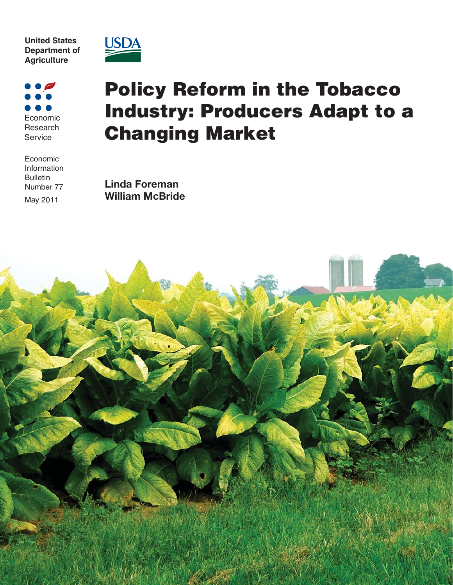**United States Department of Agriculture**



Economic Research Service

Economic Information Bulletin Number 77 May 2011

# **Policy Reform in the Tobacco Industry: Producers Adapt to a Changing Market**

**Linda Foreman William McBride**

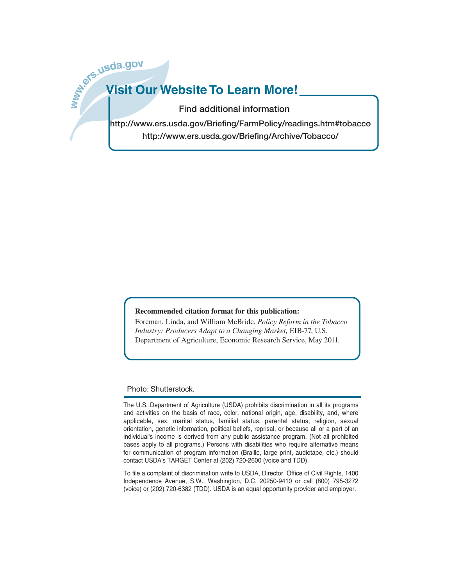# **b**. W. Subda.gov **Visit Our Website To Learn More!**

**Find additional information**

**http://www.ers.usda.gov/Briefing/FarmPolicy/readings.htm#tobacco http://www.ers.usda.gov/Briefing/Archive/Tobacco/**

#### **Recommended citation format for this publication:**

Foreman, Linda, and William McBride. *Policy Reform in the Tobacco Industry: Producers Adapt to a Changing Market,* EIB-77, U.S. Department of Agriculture, Economic Research Service, May 2011.

#### Photo: Shutterstock.

The U.S. Department of Agriculture (USDA) prohibits discrimination in all its programs and activities on the basis of race, color, national origin, age, disability, and, where applicable, sex, marital status, familial status, parental status, religion, sexual orientation, genetic information, political beliefs, reprisal, or because all or a part of an individual's income is derived from any public assistance program. (Not all prohibited bases apply to all programs.) Persons with disabilities who require alternative means for communication of program information (Braille, large print, audiotape, etc.) should contact USDA's TARGET Center at (202) 720-2600 (voice and TDD).

To file a complaint of discrimination write to USDA, Director, Office of Civil Rights, 1400 Independence Avenue, S.W., Washington, D.C. 20250-9410 or call (800) 795-3272 (voice) or (202) 720-6382 (TDD). USDA is an equal opportunity provider and employer.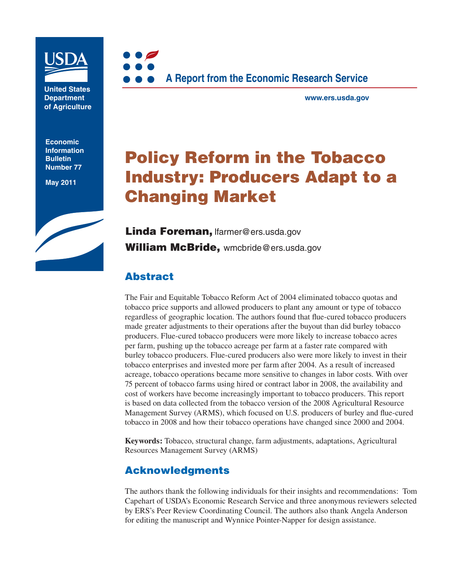

**United States Department of Agriculture**

**Economic Information Bulletin Number 77**

**May 2011**





**www.ers.usda.gov**

## **Policy Reform in the Tobacco Industry: Producers Adapt to a Changing Market**

**Linda Foreman,** lfarmer@ers.usda.gov **William McBride,** wmcbride@ers.usda.gov

## **Abstract**

The Fair and Equitable Tobacco Reform Act of 2004 eliminated tobacco quotas and tobacco price supports and allowed producers to plant any amount or type of tobacco regardless of geographic location. The authors found that flue-cured tobacco producers made greater adjustments to their operations after the buyout than did burley tobacco producers. Flue-cured tobacco producers were more likely to increase tobacco acres per farm, pushing up the tobacco acreage per farm at a faster rate compared with burley tobacco producers. Flue-cured producers also were more likely to invest in their tobacco enterprises and invested more per farm after 2004. As a result of increased acreage, tobacco operations became more sensitive to changes in labor costs. With over 75 percent of tobacco farms using hired or contract labor in 2008, the availability and cost of workers have become increasingly important to tobacco producers. This report is based on data collected from the tobacco version of the 2008 Agricultural Resource Management Survey (ARMS), which focused on U.S. producers of burley and flue-cured tobacco in 2008 and how their tobacco operations have changed since 2000 and 2004.

**Keywords:** Tobacco, structural change, farm adjustments, adaptations, Agricultural Resources Management Survey (ARMS)

## **Acknowledgments**

The authors thank the following individuals for their insights and recommendations: Tom Capehart of USDA's Economic Research Service and three anonymous reviewers selected by ERS's Peer Review Coordinating Council. The authors also thank Angela Anderson for editing the manuscript and Wynnice Pointer-Napper for design assistance.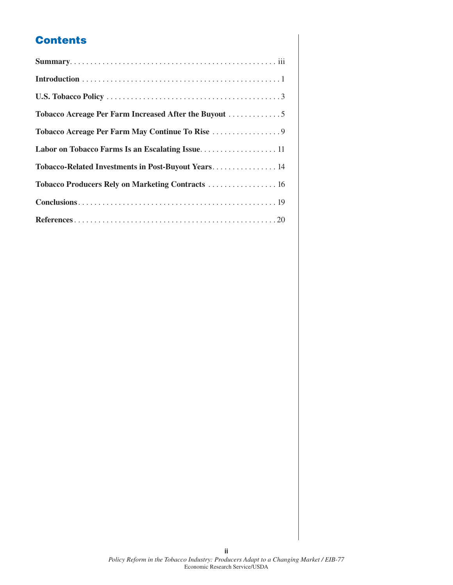## **Contents**

| Tobacco-Related Investments in Post-Buyout Years 14 |
|-----------------------------------------------------|
| Tobacco Producers Rely on Marketing Contracts  16   |
|                                                     |
|                                                     |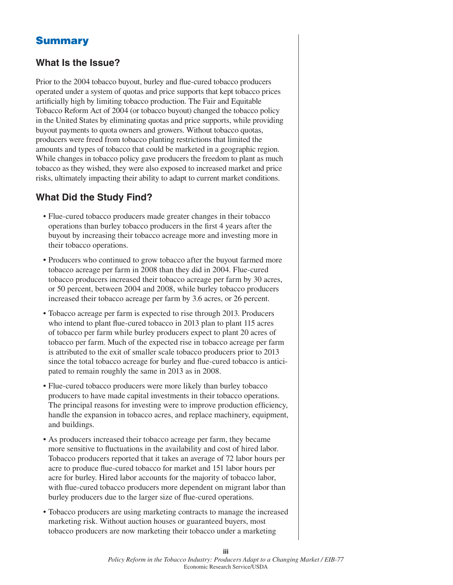## **Summary**

## **What Is the Issue?**

Prior to the 2004 tobacco buyout, burley and flue-cured tobacco producers operated under a system of quotas and price supports that kept tobacco prices artificially high by limiting tobacco production. The Fair and Equitable Tobacco Reform Act of 2004 (or tobacco buyout) changed the tobacco policy in the United States by eliminating quotas and price supports, while providing buyout payments to quota owners and growers. Without tobacco quotas, producers were freed from tobacco planting restrictions that limited the amounts and types of tobacco that could be marketed in a geographic region. While changes in tobacco policy gave producers the freedom to plant as much tobacco as they wished, they were also exposed to increased market and price risks, ultimately impacting their ability to adapt to current market conditions.

## **What Did the Study Find?**

- Flue-cured tobacco producers made greater changes in their tobacco operations than burley tobacco producers in the first 4 years after the buyout by increasing their tobacco acreage more and investing more in their tobacco operations.
- Producers who continued to grow tobacco after the buyout farmed more tobacco acreage per farm in 2008 than they did in 2004. Flue-cured tobacco producers increased their tobacco acreage per farm by 30 acres, or 50 percent, between 2004 and 2008, while burley tobacco producers increased their tobacco acreage per farm by 3.6 acres, or 26 percent.
- Tobacco acreage per farm is expected to rise through 2013. Producers who intend to plant flue-cured tobacco in 2013 plan to plant 115 acres of tobacco per farm while burley producers expect to plant 20 acres of tobacco per farm. Much of the expected rise in tobacco acreage per farm is attributed to the exit of smaller scale tobacco producers prior to 2013 since the total tobacco acreage for burley and flue-cured tobacco is anticipated to remain roughly the same in 2013 as in 2008.
- Flue-cured tobacco producers were more likely than burley tobacco producers to have made capital investments in their tobacco operations. The principal reasons for investing were to improve production efficiency, handle the expansion in tobacco acres, and replace machinery, equipment, and buildings.
- As producers increased their tobacco acreage per farm, they became more sensitive to fluctuations in the availability and cost of hired labor. Tobacco producers reported that it takes an average of 72 labor hours per acre to produce flue-cured tobacco for market and 151 labor hours per acre for burley. Hired labor accounts for the majority of tobacco labor, with flue-cured tobacco producers more dependent on migrant labor than burley producers due to the larger size of flue-cured operations.
- Tobacco producers are using marketing contracts to manage the increased marketing risk. Without auction houses or guaranteed buyers, most tobacco producers are now marketing their tobacco under a marketing

**iii**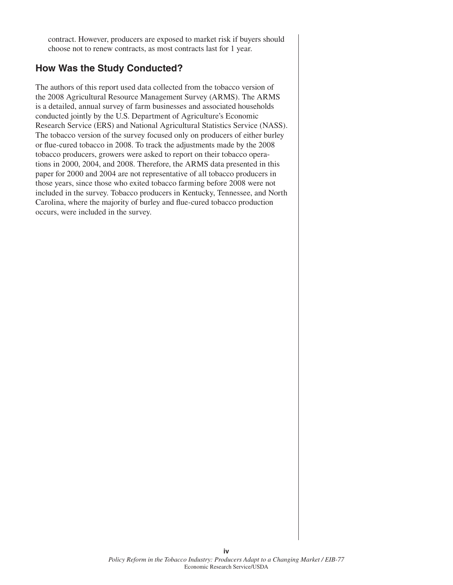contract. However, producers are exposed to market risk if buyers should choose not to renew contracts, as most contracts last for 1 year.

### **How Was the Study Conducted?**

The authors of this report used data collected from the tobacco version of the 2008 Agricultural Resource Management Survey (ARMS). The ARMS is a detailed, annual survey of farm businesses and associated households conducted jointly by the U.S. Department of Agriculture's Economic Research Service (ERS) and National Agricultural Statistics Service (NASS). The tobacco version of the survey focused only on producers of either burley or flue-cured tobacco in 2008. To track the adjustments made by the 2008 tobacco producers, growers were asked to report on their tobacco operations in 2000, 2004, and 2008. Therefore, the ARMS data presented in this paper for 2000 and 2004 are not representative of all tobacco producers in those years, since those who exited tobacco farming before 2008 were not included in the survey. Tobacco producers in Kentucky, Tennessee, and North Carolina, where the majority of burley and flue-cured tobacco production occurs, were included in the survey.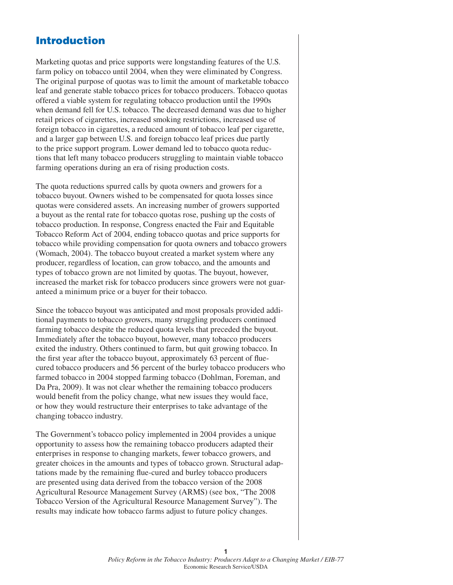## **Introduction**

Marketing quotas and price supports were longstanding features of the U.S. farm policy on tobacco until 2004, when they were eliminated by Congress. The original purpose of quotas was to limit the amount of marketable tobacco leaf and generate stable tobacco prices for tobacco producers. Tobacco quotas offered a viable system for regulating tobacco production until the 1990s when demand fell for U.S. tobacco. The decreased demand was due to higher retail prices of cigarettes, increased smoking restrictions, increased use of foreign tobacco in cigarettes, a reduced amount of tobacco leaf per cigarette, and a larger gap between U.S. and foreign tobacco leaf prices due partly to the price support program. Lower demand led to tobacco quota reductions that left many tobacco producers struggling to maintain viable tobacco farming operations during an era of rising production costs.

The quota reductions spurred calls by quota owners and growers for a tobacco buyout. Owners wished to be compensated for quota losses since quotas were considered assets. An increasing number of growers supported a buyout as the rental rate for tobacco quotas rose, pushing up the costs of tobacco production. In response, Congress enacted the Fair and Equitable Tobacco Reform Act of 2004, ending tobacco quotas and price supports for tobacco while providing compensation for quota owners and tobacco growers (Womach, 2004). The tobacco buyout created a market system where any producer, regardless of location, can grow tobacco, and the amounts and types of tobacco grown are not limited by quotas. The buyout, however, increased the market risk for tobacco producers since growers were not guaranteed a minimum price or a buyer for their tobacco.

Since the tobacco buyout was anticipated and most proposals provided additional payments to tobacco growers, many struggling producers continued farming tobacco despite the reduced quota levels that preceded the buyout. Immediately after the tobacco buyout, however, many tobacco producers exited the industry. Others continued to farm, but quit growing tobacco. In the first year after the tobacco buyout, approximately 63 percent of fluecured tobacco producers and 56 percent of the burley tobacco producers who farmed tobacco in 2004 stopped farming tobacco (Dohlman, Foreman, and Da Pra, 2009). It was not clear whether the remaining tobacco producers would benefit from the policy change, what new issues they would face, or how they would restructure their enterprises to take advantage of the changing tobacco industry.

The Government's tobacco policy implemented in 2004 provides a unique opportunity to assess how the remaining tobacco producers adapted their enterprises in response to changing markets, fewer tobacco growers, and greater choices in the amounts and types of tobacco grown. Structural adaptations made by the remaining flue-cured and burley tobacco producers are presented using data derived from the tobacco version of the 2008 Agricultural Resource Management Survey (ARMS) (see box, "The 2008 Tobacco Version of the Agricultural Resource Management Survey"). The results may indicate how tobacco farms adjust to future policy changes.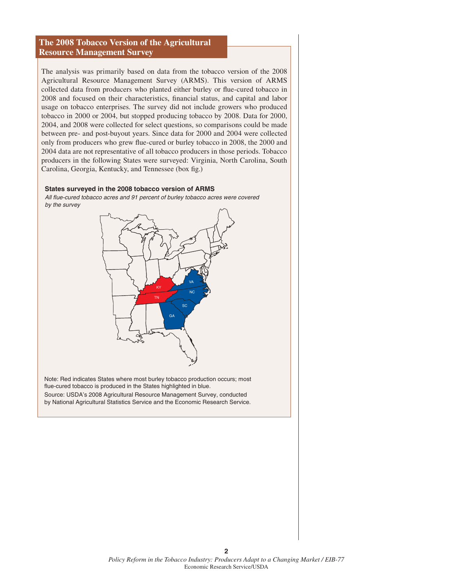#### **The 2008 Tobacco Version of the Agricultural Resource Management Survey**

The analysis was primarily based on data from the tobacco version of the 2008 Agricultural Resource Management Survey (ARMS). This version of ARMS collected data from producers who planted either burley or flue-cured tobacco in 2008 and focused on their characteristics, financial status, and capital and labor usage on tobacco enterprises. The survey did not include growers who produced tobacco in 2000 or 2004, but stopped producing tobacco by 2008. Data for 2000, 2004, and 2008 were collected for select questions, so comparisons could be made between pre- and post-buyout years. Since data for 2000 and 2004 were collected only from producers who grew flue-cured or burley tobacco in 2008, the 2000 and 2004 data are not representative of all tobacco producers in those periods. Tobacco producers in the following States were surveyed: Virginia, North Carolina, South Carolina, Georgia, Kentucky, and Tennessee (box fig.)

#### **States surveyed in the 2008 tobacco version of ARMS**

*All flue-cured tobacco acres and 91 percent of burley tobacco acres were covered by the survey*



Note: Red indicates States where most burley tobacco production occurs; most flue-cured tobacco is produced in the States highlighted in blue. Source: USDA's 2008 Agricultural Resource Management Survey, conducted by National Agricultural Statistics Service and the Economic Research Service.

**2**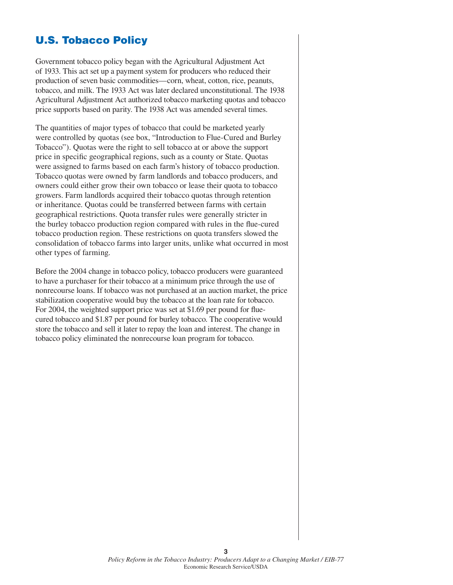## **U.S. Tobacco Policy**

Government tobacco policy began with the Agricultural Adjustment Act of 1933. This act set up a payment system for producers who reduced their production of seven basic commodities—corn, wheat, cotton, rice, peanuts, tobacco, and milk. The 1933 Act was later declared unconstitutional. The 1938 Agricultural Adjustment Act authorized tobacco marketing quotas and tobacco price supports based on parity. The 1938 Act was amended several times.

The quantities of major types of tobacco that could be marketed yearly were controlled by quotas (see box, "Introduction to Flue-Cured and Burley Tobacco"). Quotas were the right to sell tobacco at or above the support price in specific geographical regions, such as a county or State. Quotas were assigned to farms based on each farm's history of tobacco production. Tobacco quotas were owned by farm landlords and tobacco producers, and owners could either grow their own tobacco or lease their quota to tobacco growers. Farm landlords acquired their tobacco quotas through retention or inheritance. Quotas could be transferred between farms with certain geographical restrictions. Quota transfer rules were generally stricter in the burley tobacco production region compared with rules in the flue-cured tobacco production region. These restrictions on quota transfers slowed the consolidation of tobacco farms into larger units, unlike what occurred in most other types of farming.

Before the 2004 change in tobacco policy, tobacco producers were guaranteed to have a purchaser for their tobacco at a minimum price through the use of nonrecourse loans. If tobacco was not purchased at an auction market, the price stabilization cooperative would buy the tobacco at the loan rate for tobacco. For 2004, the weighted support price was set at \$1.69 per pound for fluecured tobacco and \$1.87 per pound for burley tobacco. The cooperative would store the tobacco and sell it later to repay the loan and interest. The change in tobacco policy eliminated the nonrecourse loan program for tobacco.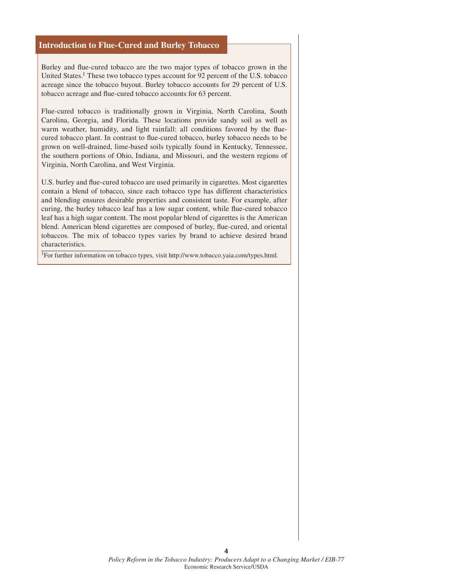#### **Introduction to Flue-Cured and Burley Tobacco**

Burley and flue-cured tobacco are the two major types of tobacco grown in the United States.<sup>1</sup> These two tobacco types account for 92 percent of the U.S. tobacco acreage since the tobacco buyout. Burley tobacco accounts for 29 percent of U.S. tobacco acreage and flue-cured tobacco accounts for 63 percent.

Flue-cured tobacco is traditionally grown in Virginia, North Carolina, South Carolina, Georgia, and Florida. These locations provide sandy soil as well as warm weather, humidity, and light rainfall: all conditions favored by the fluecured tobacco plant. In contrast to flue-cured tobacco, burley tobacco needs to be grown on well-drained, lime-based soils typically found in Kentucky, Tennessee, the southern portions of Ohio, Indiana, and Missouri, and the western regions of Virginia, North Carolina, and West Virginia.

U.S. burley and flue-cured tobacco are used primarily in cigarettes. Most cigarettes contain a blend of tobacco, since each tobacco type has different characteristics and blending ensures desirable properties and consistent taste. For example, after curing, the burley tobacco leaf has a low sugar content, while flue-cured tobacco leaf has a high sugar content. The most popular blend of cigarettes is the American blend. American blend cigarettes are composed of burley, flue-cured, and oriental tobaccos. The mix of tobacco types varies by brand to achieve desired brand characteristics.

1For further information on tobacco types, visit http://www.tobacco.yaia.com/types.html.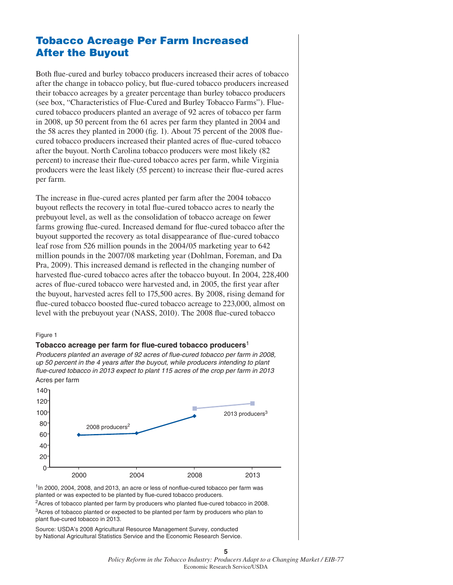## **Tobacco Acreage Per Farm Increased After the Buyout**

Both flue-cured and burley tobacco producers increased their acres of tobacco after the change in tobacco policy, but flue-cured tobacco producers increased their tobacco acreages by a greater percentage than burley tobacco producers (see box, "Characteristics of Flue-Cured and Burley Tobacco Farms"). Fluecured tobacco producers planted an average of 92 acres of tobacco per farm in 2008, up 50 percent from the 61 acres per farm they planted in 2004 and the 58 acres they planted in 2000 (fig. 1). About 75 percent of the 2008 fluecured tobacco producers increased their planted acres of flue-cured tobacco after the buyout. North Carolina tobacco producers were most likely (82 percent) to increase their flue-cured tobacco acres per farm, while Virginia producers were the least likely (55 percent) to increase their flue-cured acres per farm.

The increase in flue-cured acres planted per farm after the 2004 tobacco buyout reflects the recovery in total flue-cured tobacco acres to nearly the prebuyout level, as well as the consolidation of tobacco acreage on fewer farms growing flue-cured. Increased demand for flue-cured tobacco after the buyout supported the recovery as total disappearance of flue-cured tobacco leaf rose from 526 million pounds in the 2004/05 marketing year to 642 million pounds in the 2007/08 marketing year (Dohlman, Foreman, and Da Pra, 2009). This increased demand is reflected in the changing number of harvested flue-cured tobacco acres after the tobacco buyout. In 2004, 228,400 acres of flue-cured tobacco were harvested and, in 2005, the first year after the buyout, harvested acres fell to 175,500 acres. By 2008, rising demand for flue-cured tobacco boosted flue-cured tobacco acreage to 223,000, almost on level with the prebuyout year (NASS, 2010). The 2008 flue-cured tobacco

#### Figure 1



*Producers planted an average of 92 acres of flue-cured tobacco per farm in 2008, up 50 percent in the 4 years after the buyout, while producers intending to plant flue-cured tobacco in 2013 expect to plant 115 acres of the crop per farm in 2013* Acres per farm



 $1$ In 2000, 2004, 2008, and 2013, an acre or less of nonflue-cured tobacco per farm was planted or was expected to be planted by flue-cured tobacco producers.

<sup>2</sup> Acres of tobacco planted per farm by producers who planted flue-cured tobacco in 2008. <sup>3</sup>Acres of tobacco planted or expected to be planted per farm by producers who plan to plant flue-cured tobacco in 2013.

Source: USDA's 2008 Agricultural Resource Management Survey, conducted by National Agricultural Statistics Service and the Economic Research Service.

**5**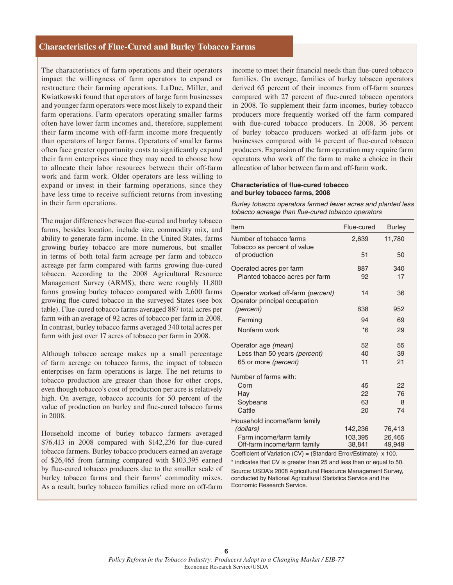#### **Characteristics of Flue-Cured and Burley Tobacco Farms**

The characteristics of farm operations and their operators impact the willingness of farm operators to expand or restructure their farming operations. LaDue, Miller, and Kwiatkowski found that operators of large farm businesses and younger farm operators were most likely to expand their farm operations. Farm operators operating smaller farms often have lower farm incomes and, therefore, supplement their farm income with off-farm income more frequently than operators of larger farms. Operators of smaller farms often face greater opportunity costs to significantly expand their farm enterprises since they may need to choose how to allocate their labor resources between their off-farm work and farm work. Older operators are less willing to expand or invest in their farming operations, since they have less time to receive sufficient returns from investing in their farm operations.

The major differences between flue-cured and burley tobacco farms, besides location, include size, commodity mix, and ability to generate farm income. In the United States, farms growing burley tobacco are more numerous, but smaller in terms of both total farm acreage per farm and tobacco acreage per farm compared with farms growing flue-cured tobacco. According to the 2008 Agricultural Resource Management Survey (ARMS), there were roughly 11,800 farms growing burley tobacco compared with 2,600 farms growing flue-cured tobacco in the surveyed States (see box table). Flue-cured tobacco farms averaged 887 total acres per farm with an average of 92 acres of tobacco per farm in 2008. In contrast, burley tobacco farms averaged 340 total acres per farm with just over 17 acres of tobacco per farm in 2008.

Although tobacco acreage makes up a small percentage of farm acreage on tobacco farms, the impact of tobacco enterprises on farm operations is large. The net returns to tobacco production are greater than those for other crops, even though tobacco's cost of production per acre is relatively high. On average, tobacco accounts for 50 percent of the value of production on burley and flue-cured tobacco farms in 2008.

Household income of burley tobacco farmers averaged  $$76,413$  in 2008 compared with  $$142,236$  for flue-cured tobacco farmers. Burley tobacco producers earned an average of \$26,465 from farming compared with \$103,395 earned by flue-cured tobacco producers due to the smaller scale of burley tobacco farms and their farms' commodity mixes. As a result, burley tobacco families relied more on off-farm

income to meet their financial needs than flue-cured tobacco families. On average, families of burley tobacco operators derived 65 percent of their incomes from off-farm sources compared with 27 percent of flue-cured tobacco operators in 2008. To supplement their farm incomes, burley tobacco producers more frequently worked off the farm compared with flue-cured tobacco producers. In 2008, 36 percent of burley tobacco producers worked at off-farm jobs or businesses compared with 14 percent of flue-cured tobacco producers. Expansion of the farm operation may require farm operators who work off the farm to make a choice in their allocation of labor between farm and off-farm work.

#### **Characteristics of flue-cured tobacco and burley tobacco farms, 2008**

*Burley tobacco operators farmed fewer acres and planted less tobacco acreage than flue-cured tobacco operators* 

| Item                                                                | Flue-cured | <b>Burley</b> |  |  |  |
|---------------------------------------------------------------------|------------|---------------|--|--|--|
| Number of tobacco farms<br>Tobacco as percent of value              | 2,639      | 11,780        |  |  |  |
| of production                                                       | 51         | 50            |  |  |  |
| Operated acres per farm                                             | 887        | 340           |  |  |  |
| Planted tobacco acres per farm                                      | 92         | 17            |  |  |  |
| Operator worked off-farm (percent)<br>Operator principal occupation | 14         | 36            |  |  |  |
| (percent)                                                           | 838        | 952           |  |  |  |
| Farming                                                             | 94         | 69            |  |  |  |
| Nonfarm work                                                        | $*6$       | 29            |  |  |  |
| Operator age (mean)                                                 | 52         | 55            |  |  |  |
| Less than 50 years (percent)                                        | 40         | 39            |  |  |  |
| 65 or more (percent)                                                | 11         | 21            |  |  |  |
| Number of farms with:                                               |            |               |  |  |  |
| Corn                                                                | 45         | 22            |  |  |  |
| Hay                                                                 | 22         | 76            |  |  |  |
| Soybeans                                                            | 63         | 8             |  |  |  |
| Cattle                                                              | 20         | 74            |  |  |  |
| Household income/farm family                                        |            |               |  |  |  |
| (dollars)                                                           | 142,236    | 76,413        |  |  |  |
| Farm income/farm family                                             | 103,395    | 26,465        |  |  |  |
| Off-farm income/farm family                                         | 38,841     | 49,949        |  |  |  |
| Coefficient of Variation (CV) = (Standard Error/Estimate)<br>x 100. |            |               |  |  |  |

\* indicates that CV is greater than 25 and less than or equal to 50. Source: USDA's 2008 Agricultural Resource Management Survey, conducted by National Agricultural Statistics Service and the Economic Research Service.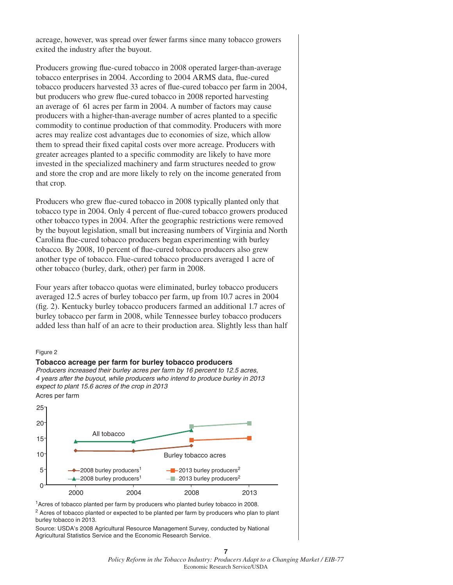acreage, however, was spread over fewer farms since many tobacco growers exited the industry after the buyout.

Producers growing flue-cured tobacco in 2008 operated larger-than-average tobacco enterprises in 2004. According to 2004 ARMS data, flue-cured tobacco producers harvested 33 acres of flue-cured tobacco per farm in 2004, but producers who grew flue-cured tobacco in 2008 reported harvesting an average of 61 acres per farm in 2004. A number of factors may cause producers with a higher-than-average number of acres planted to a specific commodity to continue production of that commodity. Producers with more acres may realize cost advantages due to economies of size, which allow them to spread their fixed capital costs over more acreage. Producers with greater acreages planted to a specific commodity are likely to have more invested in the specialized machinery and farm structures needed to grow and store the crop and are more likely to rely on the income generated from that crop.

Producers who grew flue-cured tobacco in 2008 typically planted only that tobacco type in 2004. Only 4 percent of flue-cured tobacco growers produced other tobacco types in 2004. After the geographic restrictions were removed by the buyout legislation, small but increasing numbers of Virginia and North Carolina flue-cured tobacco producers began experimenting with burley tobacco. By 2008, 10 percent of flue-cured tobacco producers also grew another type of tobacco. Flue-cured tobacco producers averaged 1 acre of other tobacco (burley, dark, other) per farm in 2008.

Four years after tobacco quotas were eliminated, burley tobacco producers averaged 12.5 acres of burley tobacco per farm, up from 10.7 acres in 2004 (fig. 2). Kentucky burley tobacco producers farmed an additional 1.7 acres of burley tobacco per farm in 2008, while Tennessee burley tobacco producers added less than half of an acre to their production area. Slightly less than half

#### Figure 2



<sup>1</sup> Acres of tobacco planted per farm by producers who planted burley tobacco in 2008. <sup>2</sup> Acres of tobacco planted or expected to be planted per farm by producers who plan to plant burley tobacco in 2013.

Source: USDA's 2008 Agricultural Resource Management Survey, conducted by National Agricultural Statistics Service and the Economic Research Service.

#### *Policy Reform in the Tobacco Industry: Producers Adapt to a Changing Market / EIB-77* Economic Research Service/USDA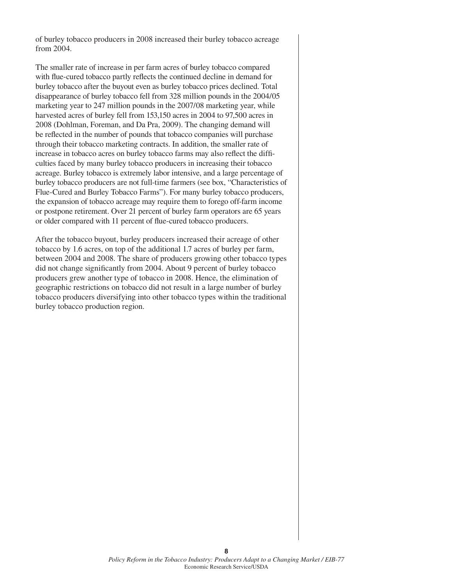of burley tobacco producers in 2008 increased their burley tobacco acreage from 2004.

The smaller rate of increase in per farm acres of burley tobacco compared with flue-cured tobacco partly reflects the continued decline in demand for burley tobacco after the buyout even as burley tobacco prices declined. Total disappearance of burley tobacco fell from 328 million pounds in the 2004/05 marketing year to 247 million pounds in the 2007/08 marketing year, while harvested acres of burley fell from 153,150 acres in 2004 to 97,500 acres in 2008 (Dohlman, Foreman, and Da Pra, 2009). The changing demand will be reflected in the number of pounds that tobacco companies will purchase through their tobacco marketing contracts. In addition, the smaller rate of increase in tobacco acres on burley tobacco farms may also reflect the difficulties faced by many burley tobacco producers in increasing their tobacco acreage. Burley tobacco is extremely labor intensive, and a large percentage of burley tobacco producers are not full-time farmers (see box, "Characteristics of Flue-Cured and Burley Tobacco Farms"). For many burley tobacco producers, the expansion of tobacco acreage may require them to forego off-farm income or postpone retirement. Over 21 percent of burley farm operators are 65 years or older compared with 11 percent of flue-cured tobacco producers.

After the tobacco buyout, burley producers increased their acreage of other tobacco by 1.6 acres, on top of the additional 1.7 acres of burley per farm, between 2004 and 2008. The share of producers growing other tobacco types did not change significantly from 2004. About 9 percent of burley tobacco producers grew another type of tobacco in 2008. Hence, the elimination of geographic restrictions on tobacco did not result in a large number of burley tobacco producers diversifying into other tobacco types within the traditional burley tobacco production region.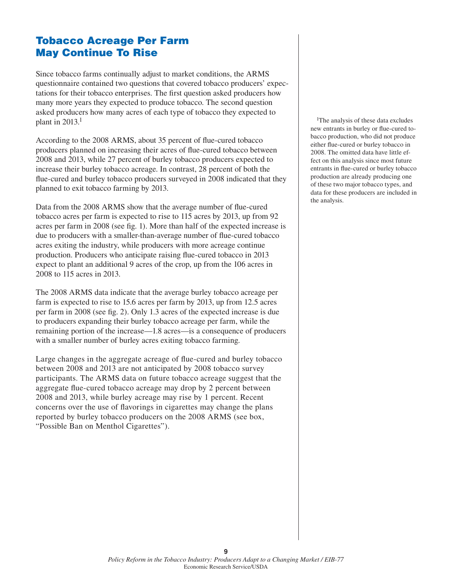## **Tobacco Acreage Per Farm May Continue To Rise**

Since tobacco farms continually adjust to market conditions, the ARMS questionnaire contained two questions that covered tobacco producers' expectations for their tobacco enterprises. The first question asked producers how many more years they expected to produce tobacco. The second question asked producers how many acres of each type of tobacco they expected to plant in  $2013.<sup>1</sup>$ 

According to the 2008 ARMS, about 35 percent of flue-cured tobacco producers planned on increasing their acres of flue-cured tobacco between 2008 and 2013, while 27 percent of burley tobacco producers expected to increase their burley tobacco acreage. In contrast, 28 percent of both the flue-cured and burley tobacco producers surveyed in 2008 indicated that they planned to exit tobacco farming by 2013.

Data from the 2008 ARMS show that the average number of flue-cured tobacco acres per farm is expected to rise to 115 acres by 2013, up from 92 acres per farm in 2008 (see fig. 1). More than half of the expected increase is due to producers with a smaller-than-average number of flue-cured tobacco acres exiting the industry, while producers with more acreage continue production. Producers who anticipate raising flue-cured tobacco in 2013 expect to plant an additional 9 acres of the crop, up from the 106 acres in 2008 to 115 acres in 2013.

The 2008 ARMS data indicate that the average burley tobacco acreage per farm is expected to rise to 15.6 acres per farm by 2013, up from 12.5 acres per farm in 2008 (see fig. 2). Only 1.3 acres of the expected increase is due to producers expanding their burley tobacco acreage per farm, while the remaining portion of the increase—1.8 acres—is a consequence of producers with a smaller number of burley acres exiting tobacco farming.

Large changes in the aggregate acreage of flue-cured and burley tobacco between 2008 and 2013 are not anticipated by 2008 tobacco survey participants. The ARMS data on future tobacco acreage suggest that the aggregate flue-cured tobacco acreage may drop by 2 percent between 2008 and 2013, while burley acreage may rise by 1 percent. Recent concerns over the use of flavorings in cigarettes may change the plans reported by burley tobacco producers on the 2008 ARMS (see box, "Possible Ban on Menthol Cigarettes").

<sup>1</sup>The analysis of these data excludes new entrants in burley or flue-cured tobacco production, who did not produce either flue-cured or burley tobacco in 2008. The omitted data have little effect on this analysis since most future entrants in flue-cured or burley tobacco production are already producing one of these two major tobacco types, and data for these producers are included in the analysis.

**9**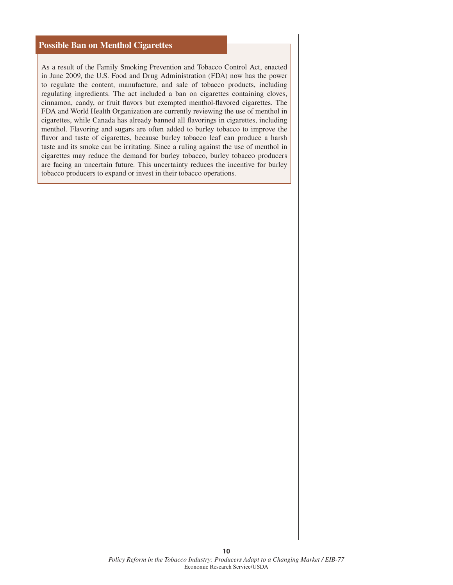#### **Possible Ban on Menthol Cigarettes**

As a result of the Family Smoking Prevention and Tobacco Control Act, enacted in June 2009, the U.S. Food and Drug Administration (FDA) now has the power to regulate the content, manufacture, and sale of tobacco products, including regulating ingredients. The act included a ban on cigarettes containing cloves, cinnamon, candy, or fruit flavors but exempted menthol-flavored cigarettes. The FDA and World Health Organization are currently reviewing the use of menthol in cigarettes, while Canada has already banned all flavorings in cigarettes, including menthol. Flavoring and sugars are often added to burley tobacco to improve the flavor and taste of cigarettes, because burley tobacco leaf can produce a harsh taste and its smoke can be irritating. Since a ruling against the use of menthol in cigarettes may reduce the demand for burley tobacco, burley tobacco producers are facing an uncertain future. This uncertainty reduces the incentive for burley tobacco producers to expand or invest in their tobacco operations.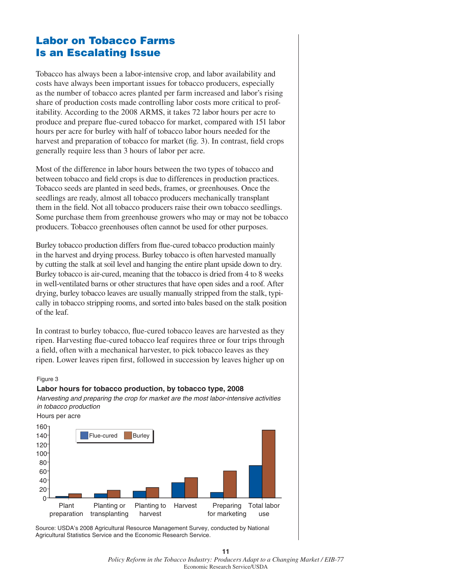## **Labor on Tobacco Farms Is an Escalating Issue**

Tobacco has always been a labor-intensive crop, and labor availability and costs have always been important issues for tobacco producers, especially as the number of tobacco acres planted per farm increased and labor's rising share of production costs made controlling labor costs more critical to profitability. According to the 2008 ARMS, it takes 72 labor hours per acre to produce and prepare flue-cured tobacco for market, compared with 151 labor hours per acre for burley with half of tobacco labor hours needed for the harvest and preparation of tobacco for market (fig. 3). In contrast, field crops generally require less than 3 hours of labor per acre.

Most of the difference in labor hours between the two types of tobacco and between tobacco and field crops is due to differences in production practices. Tobacco seeds are planted in seed beds, frames, or greenhouses. Once the seedlings are ready, almost all tobacco producers mechanically transplant them in the field. Not all tobacco producers raise their own tobacco seedlings. Some purchase them from greenhouse growers who may or may not be tobacco producers. Tobacco greenhouses often cannot be used for other purposes.

Burley tobacco production differs from flue-cured tobacco production mainly in the harvest and drying process. Burley tobacco is often harvested manually by cutting the stalk at soil level and hanging the entire plant upside down to dry. Burley tobacco is air-cured, meaning that the tobacco is dried from 4 to 8 weeks in well-ventilated barns or other structures that have open sides and a roof. After drying, burley tobacco leaves are usually manually stripped from the stalk, typically in tobacco stripping rooms, and sorted into bales based on the stalk position of the leaf.

In contrast to burley tobacco, flue-cured tobacco leaves are harvested as they ripen. Harvesting flue-cured tobacco leaf requires three or four trips through a field, often with a mechanical harvester, to pick tobacco leaves as they ripen. Lower leaves ripen first, followed in succession by leaves higher up on

#### Figure 3

#### **Labor hours for tobacco production, by tobacco type, 2008**

*Harvesting and preparing the crop for market are the most labor-intensive activities in tobacco production*

Hours per acre



Source: USDA's 2008 Agricultural Resource Management Survey, conducted by National Agricultural Statistics Service and the Economic Research Service.

#### *Policy Reform in the Tobacco Industry: Producers Adapt to a Changing Market / EIB-77* Economic Research Service/USDA

**11**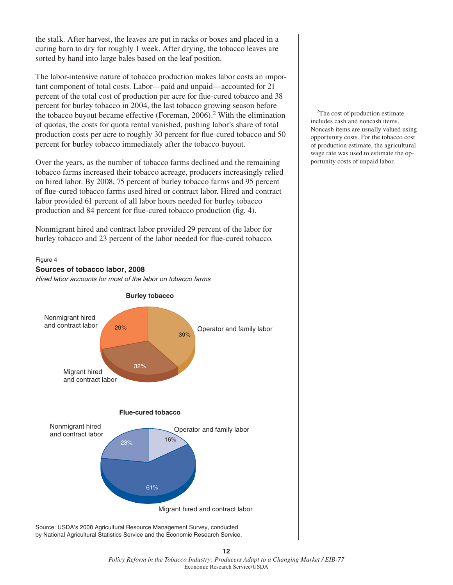the stalk. After harvest, the leaves are put in racks or boxes and placed in a curing barn to dry for roughly 1 week. After drying, the tobacco leaves are sorted by hand into large bales based on the leaf position.

The labor-intensive nature of tobacco production makes labor costs an important component of total costs. Labor—paid and unpaid—accounted for 21 percent of the total cost of production per acre for flue-cured tobacco and 38 percent for burley tobacco in 2004, the last tobacco growing season before the tobacco buyout became effective (Foreman,  $2006$ ).<sup>2</sup> With the elimination of quotas, the costs for quota rental vanished, pushing labor's share of total production costs per acre to roughly 30 percent for flue-cured tobacco and 50 percent for burley tobacco immediately after the tobacco buyout.

Over the years, as the number of tobacco farms declined and the remaining tobacco farms increased their tobacco acreage, producers increasingly relied on hired labor. By 2008, 75 percent of burley tobacco farms and 95 percent of flue-cured tobacco farms used hired or contract labor. Hired and contract labor provided 61 percent of all labor hours needed for burley tobacco production and 84 percent for flue-cured tobacco production (fig. 4).

Nonmigrant hired and contract labor provided 29 percent of the labor for burley tobacco and 23 percent of the labor needed for flue-cured tobacco.

#### Figure 4



Source: USDA's 2008 Agricultural Resource Management Survey, conducted by National Agricultural Statistics Service and the Economic Research Service.

<sup>2</sup>The cost of production estimate includes cash and noncash items. Noncash items are usually valued using opportunity costs. For the tobacco cost of production estimate, the agricultural wage rate was used to estimate the opportunity costs of unpaid labor.

#### *Policy Reform in the Tobacco Industry: Producers Adapt to a Changing Market / EIB-77* Economic Research Service/USDA

**12**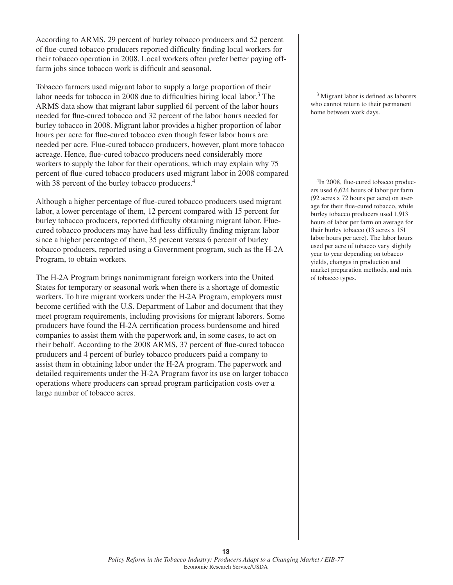According to ARMS, 29 percent of burley tobacco producers and 52 percent of flue-cured tobacco producers reported difficulty finding local workers for their tobacco operation in 2008. Local workers often prefer better paying offfarm jobs since tobacco work is difficult and seasonal.

Tobacco farmers used migrant labor to supply a large proportion of their labor needs for tobacco in 2008 due to difficulties hiring local labor.<sup>3</sup> The ARMS data show that migrant labor supplied 61 percent of the labor hours needed for flue-cured tobacco and 32 percent of the labor hours needed for burley tobacco in 2008. Migrant labor provides a higher proportion of labor hours per acre for flue-cured tobacco even though fewer labor hours are needed per acre. Flue-cured tobacco producers, however, plant more tobacco acreage. Hence, flue-cured tobacco producers need considerably more workers to supply the labor for their operations, which may explain why 75 percent of flue-cured tobacco producers used migrant labor in 2008 compared with 38 percent of the burley tobacco producers.<sup>4</sup>

Although a higher percentage of flue-cured tobacco producers used migrant labor, a lower percentage of them, 12 percent compared with 15 percent for burley tobacco producers, reported difficulty obtaining migrant labor. Fluecured tobacco producers may have had less difficulty finding migrant labor since a higher percentage of them, 35 percent versus 6 percent of burley tobacco producers, reported using a Government program, such as the H-2A Program, to obtain workers.

The H-2A Program brings nonimmigrant foreign workers into the United States for temporary or seasonal work when there is a shortage of domestic workers. To hire migrant workers under the H-2A Program, employers must become certified with the U.S. Department of Labor and document that they meet program requirements, including provisions for migrant laborers. Some producers have found the H-2A certification process burdensome and hired companies to assist them with the paperwork and, in some cases, to act on their behalf. According to the 2008 ARMS, 37 percent of flue-cured tobacco producers and 4 percent of burley tobacco producers paid a company to assist them in obtaining labor under the H-2A program. The paperwork and detailed requirements under the H-2A Program favor its use on larger tobacco operations where producers can spread program participation costs over a large number of tobacco acres.

 $3$  Migrant labor is defined as laborers who cannot return to their permanent home between work days.

<sup>4</sup>In 2008, flue-cured tobacco producers used 6,624 hours of labor per farm (92 acres x 72 hours per acre) on average for their flue-cured tobacco, while burley tobacco producers used 1,913 hours of labor per farm on average for their burley tobacco (13 acres x 151 labor hours per acre). The labor hours used per acre of tobacco vary slightly year to year depending on tobacco yields, changes in production and market preparation methods, and mix of tobacco types.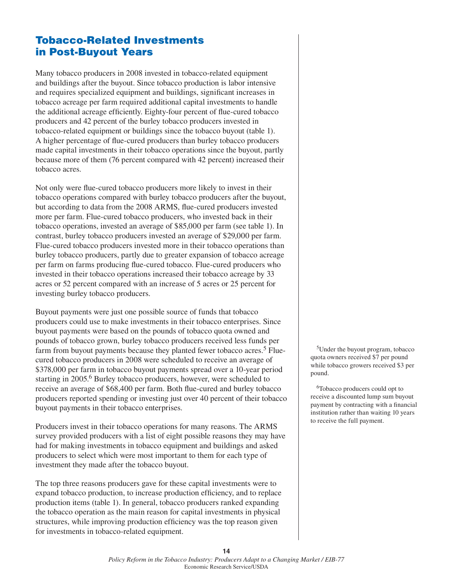## **Tobacco-Related Investments in Post-Buyout Years**

Many tobacco producers in 2008 invested in tobacco-related equipment and buildings after the buyout. Since tobacco production is labor intensive and requires specialized equipment and buildings, significant increases in tobacco acreage per farm required additional capital investments to handle the additional acreage efficiently. Eighty-four percent of flue-cured tobacco producers and 42 percent of the burley tobacco producers invested in tobacco-related equipment or buildings since the tobacco buyout (table 1). A higher percentage of flue-cured producers than burley tobacco producers made capital investments in their tobacco operations since the buyout, partly because more of them (76 percent compared with 42 percent) increased their tobacco acres.

Not only were flue-cured tobacco producers more likely to invest in their tobacco operations compared with burley tobacco producers after the buyout, but according to data from the 2008 ARMS, flue-cured producers invested more per farm. Flue-cured tobacco producers, who invested back in their tobacco operations, invested an average of \$85,000 per farm (see table 1). In contrast, burley tobacco producers invested an average of \$29,000 per farm. Flue-cured tobacco producers invested more in their tobacco operations than burley tobacco producers, partly due to greater expansion of tobacco acreage per farm on farms producing flue-cured tobacco. Flue-cured producers who invested in their tobacco operations increased their tobacco acreage by 33 acres or 52 percent compared with an increase of 5 acres or 25 percent for investing burley tobacco producers.

Buyout payments were just one possible source of funds that tobacco producers could use to make investments in their tobacco enterprises. Since buyout payments were based on the pounds of tobacco quota owned and pounds of tobacco grown, burley tobacco producers received less funds per farm from buyout payments because they planted fewer tobacco acres.<sup>5</sup> Fluecured tobacco producers in 2008 were scheduled to receive an average of \$378,000 per farm in tobacco buyout payments spread over a 10-year period starting in 2005.<sup>6</sup> Burley tobacco producers, however, were scheduled to receive an average of \$68,400 per farm. Both flue-cured and burley tobacco producers reported spending or investing just over 40 percent of their tobacco buyout payments in their tobacco enterprises.

Producers invest in their tobacco operations for many reasons. The ARMS survey provided producers with a list of eight possible reasons they may have had for making investments in tobacco equipment and buildings and asked producers to select which were most important to them for each type of investment they made after the tobacco buyout.

The top three reasons producers gave for these capital investments were to expand tobacco production, to increase production efficiency, and to replace production items (table 1). In general, tobacco producers ranked expanding the tobacco operation as the main reason for capital investments in physical structures, while improving production efficiency was the top reason given for investments in tobacco-related equipment.

5Under the buyout program, tobacco quota owners received \$7 per pound while tobacco growers received \$3 per pound.

6Tobacco producers could opt to receive a discounted lump sum buyout payment by contracting with a financial institution rather than waiting 10 years to receive the full payment.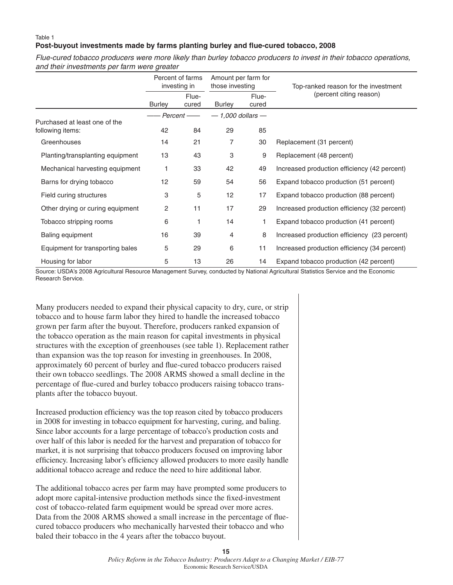#### Table 1 Post-buyout investments made by farms planting burley and flue-cured tobacco, 2008

*Flue-cured tobacco producers were more likely than burley tobacco producers to invest in their tobacco operations, and their investments per farm were greater*

|                                  | Percent of farms<br>investing in |                | Amount per farm for<br>those investing |                | Top-ranked reason for the investment         |  |
|----------------------------------|----------------------------------|----------------|----------------------------------------|----------------|----------------------------------------------|--|
|                                  | <b>Burley</b>                    | Flue-<br>cured | <b>Burley</b>                          | Flue-<br>cured | (percent citing reason)                      |  |
| Purchased at least one of the    | Percent ——                       |                | $-1,000$ dollars $-$                   |                |                                              |  |
| following items:                 | 42                               | 84             | 29                                     | 85             |                                              |  |
| Greenhouses                      | 14                               | 21             | 7                                      | 30             | Replacement (31 percent)                     |  |
| Planting/transplanting equipment | 13                               | 43             | 3                                      | 9              | Replacement (48 percent)                     |  |
| Mechanical harvesting equipment  | 1                                | 33             | 42                                     | 49             | Increased production efficiency (42 percent) |  |
| Barns for drying tobacco         | 12                               | 59             | 54                                     | 56             | Expand tobacco production (51 percent)       |  |
| Field curing structures          | 3                                | 5              | 12                                     | 17             | Expand tobacco production (88 percent)       |  |
| Other drying or curing equipment | 2                                | 11             | 17                                     | 29             | Increased production efficiency (32 percent) |  |
| Tobacco stripping rooms          | 6                                |                | 14                                     |                | Expand tobacco production (41 percent)       |  |
| Baling equipment                 | 16                               | 39             | 4                                      | 8              | Increased production efficiency (23 percent) |  |
| Equipment for transporting bales | 5                                | 29             | 6                                      | 11             | Increased production efficiency (34 percent) |  |
| Housing for labor                | 5                                | 13             | 26                                     | 14             | Expand tobacco production (42 percent)       |  |

Source: USDA's 2008 Agricultural Resource Management Survey, conducted by National Agricultural Statistics Service and the Economic Research Service.

Many producers needed to expand their physical capacity to dry, cure, or strip tobacco and to house farm labor they hired to handle the increased tobacco grown per farm after the buyout. Therefore, producers ranked expansion of the tobacco operation as the main reason for capital investments in physical structures with the exception of greenhouses (see table 1). Replacement rather than expansion was the top reason for investing in greenhouses. In 2008, approximately 60 percent of burley and flue-cured tobacco producers raised their own tobacco seedlings. The 2008 ARMS showed a small decline in the percentage of flue-cured and burley tobacco producers raising tobacco transplants after the tobacco buyout.

Increased production efficiency was the top reason cited by tobacco producers in 2008 for investing in tobacco equipment for harvesting, curing, and baling. Since labor accounts for a large percentage of tobacco's production costs and over half of this labor is needed for the harvest and preparation of tobacco for market, it is not surprising that tobacco producers focused on improving labor efficiency. Increasing labor's efficiency allowed producers to more easily handle additional tobacco acreage and reduce the need to hire additional labor.

The additional tobacco acres per farm may have prompted some producers to adopt more capital-intensive production methods since the fixed-investment cost of tobacco-related farm equipment would be spread over more acres. Data from the 2008 ARMS showed a small increase in the percentage of fluecured tobacco producers who mechanically harvested their tobacco and who baled their tobacco in the 4 years after the tobacco buyout.

**15**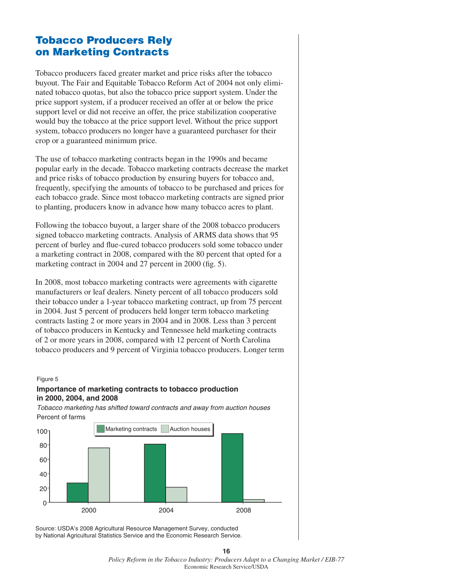## **Tobacco Producers Rely on Marketing Contracts**

Tobacco producers faced greater market and price risks after the tobacco buyout. The Fair and Equitable Tobacco Reform Act of 2004 not only eliminated tobacco quotas, but also the tobacco price support system. Under the price support system, if a producer received an offer at or below the price support level or did not receive an offer, the price stabilization cooperative would buy the tobacco at the price support level. Without the price support system, tobacco producers no longer have a guaranteed purchaser for their crop or a guaranteed minimum price.

The use of tobacco marketing contracts began in the 1990s and became popular early in the decade. Tobacco marketing contracts decrease the market and price risks of tobacco production by ensuring buyers for tobacco and, frequently, specifying the amounts of tobacco to be purchased and prices for each tobacco grade. Since most tobacco marketing contracts are signed prior to planting, producers know in advance how many tobacco acres to plant.

Following the tobacco buyout, a larger share of the 2008 tobacco producers signed tobacco marketing contracts. Analysis of ARMS data shows that 95 percent of burley and flue-cured tobacco producers sold some tobacco under a marketing contract in 2008, compared with the 80 percent that opted for a marketing contract in 2004 and 27 percent in 2000 (fig. 5).

In 2008, most tobacco marketing contracts were agreements with cigarette manufacturers or leaf dealers. Ninety percent of all tobacco producers sold their tobacco under a 1-year tobacco marketing contract, up from 75 percent in 2004. Just 5 percent of producers held longer term tobacco marketing contracts lasting 2 or more years in 2004 and in 2008. Less than 3 percent of tobacco producers in Kentucky and Tennessee held marketing contracts of 2 or more years in 2008, compared with 12 percent of North Carolina tobacco producers and 9 percent of Virginia tobacco producers. Longer term

#### Figure 5

#### **Importance of marketing contracts to tobacco production in 2000, 2004, and 2008**

*Tobacco marketing has shifted toward contracts and away from auction houses* Percent of farms



Source: USDA's 2008 Agricultural Resource Management Survey, conducted by National Agricultural Statistics Service and the Economic Research Service.

**16** *Policy Reform in the Tobacco Industry: Producers Adapt to a Changing Market / EIB-77* Economic Research Service/USDA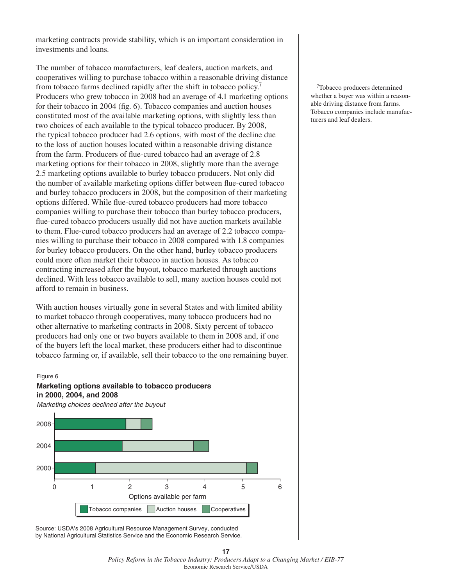marketing contracts provide stability, which is an important consideration in investments and loans.

The number of tobacco manufacturers, leaf dealers, auction markets, and cooperatives willing to purchase tobacco within a reasonable driving distance from tobacco farms declined rapidly after the shift in tobacco policy.7 Producers who grew tobacco in 2008 had an average of 4.1 marketing options for their tobacco in 2004 (fig. 6). Tobacco companies and auction houses constituted most of the available marketing options, with slightly less than two choices of each available to the typical tobacco producer. By 2008, the typical tobacco producer had 2.6 options, with most of the decline due to the loss of auction houses located within a reasonable driving distance from the farm. Producers of flue-cured tobacco had an average of 2.8 marketing options for their tobacco in 2008, slightly more than the average 2.5 marketing options available to burley tobacco producers. Not only did the number of available marketing options differ between flue-cured tobacco and burley tobacco producers in 2008, but the composition of their marketing options differed. While flue-cured tobacco producers had more tobacco companies willing to purchase their tobacco than burley tobacco producers, flue-cured tobacco producers usually did not have auction markets available to them. Flue-cured tobacco producers had an average of 2.2 tobacco companies willing to purchase their tobacco in 2008 compared with 1.8 companies for burley tobacco producers. On the other hand, burley tobacco producers could more often market their tobacco in auction houses. As tobacco contracting increased after the buyout, tobacco marketed through auctions declined. With less tobacco available to sell, many auction houses could not afford to remain in business.

With auction houses virtually gone in several States and with limited ability to market tobacco through cooperatives, many tobacco producers had no other alternative to marketing contracts in 2008. Sixty percent of tobacco producers had only one or two buyers available to them in 2008 and, if one of the buyers left the local market, these producers either had to discontinue tobacco farming or, if available, sell their tobacco to the one remaining buyer.

#### Figure 6

#### **Marketing options available to tobacco producers in 2000, 2004, and 2008**

*Marketing choices declined after the buyout*



Source: USDA's 2008 Agricultural Resource Management Survey, conducted by National Agricultural Statistics Service and the Economic Research Service.

7Tobacco producers determined whether a buyer was within a reasonable driving distance from farms. Tobacco companies include manufacturers and leaf dealers.

*Policy Reform in the Tobacco Industry: Producers Adapt to a Changing Market / EIB-77* Economic Research Service/USDA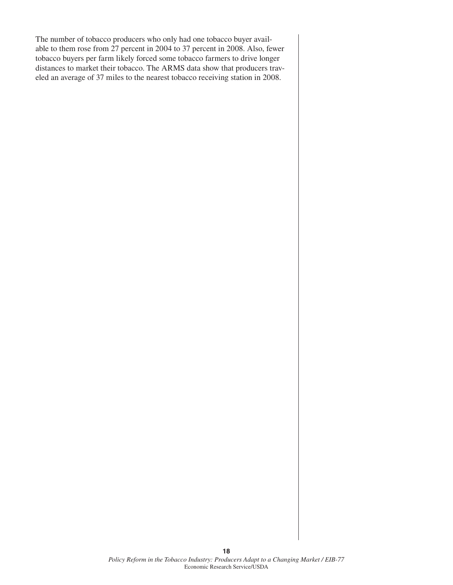The number of tobacco producers who only had one tobacco buyer available to them rose from 27 percent in 2004 to 37 percent in 2008. Also, fewer tobacco buyers per farm likely forced some tobacco farmers to drive longer distances to market their tobacco. The ARMS data show that producers traveled an average of 37 miles to the nearest tobacco receiving station in 2008.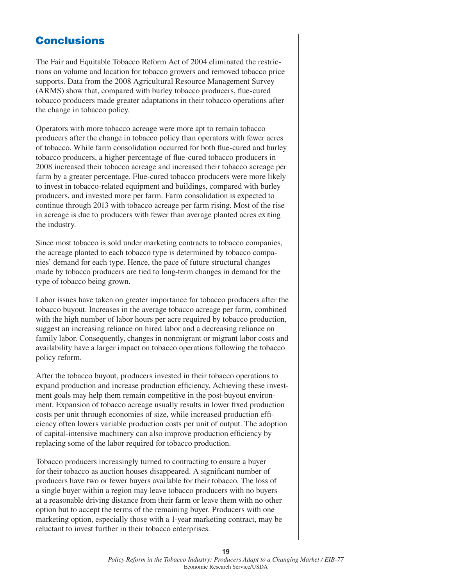## **Conclusions**

The Fair and Equitable Tobacco Reform Act of 2004 eliminated the restrictions on volume and location for tobacco growers and removed tobacco price supports. Data from the 2008 Agricultural Resource Management Survey (ARMS) show that, compared with burley tobacco producers, flue-cured tobacco producers made greater adaptations in their tobacco operations after the change in tobacco policy.

Operators with more tobacco acreage were more apt to remain tobacco producers after the change in tobacco policy than operators with fewer acres of tobacco. While farm consolidation occurred for both flue-cured and burley tobacco producers, a higher percentage of flue-cured tobacco producers in 2008 increased their tobacco acreage and increased their tobacco acreage per farm by a greater percentage. Flue-cured tobacco producers were more likely to invest in tobacco-related equipment and buildings, compared with burley producers, and invested more per farm. Farm consolidation is expected to continue through 2013 with tobacco acreage per farm rising. Most of the rise in acreage is due to producers with fewer than average planted acres exiting the industry.

Since most tobacco is sold under marketing contracts to tobacco companies, the acreage planted to each tobacco type is determined by tobacco companies' demand for each type. Hence, the pace of future structural changes made by tobacco producers are tied to long-term changes in demand for the type of tobacco being grown.

Labor issues have taken on greater importance for tobacco producers after the tobacco buyout. Increases in the average tobacco acreage per farm, combined with the high number of labor hours per acre required by tobacco production, suggest an increasing reliance on hired labor and a decreasing reliance on family labor. Consequently, changes in nonmigrant or migrant labor costs and availability have a larger impact on tobacco operations following the tobacco policy reform.

After the tobacco buyout, producers invested in their tobacco operations to expand production and increase production efficiency. Achieving these investment goals may help them remain competitive in the post-buyout environment. Expansion of tobacco acreage usually results in lower fixed production costs per unit through economies of size, while increased production efficiency often lowers variable production costs per unit of output. The adoption of capital-intensive machinery can also improve production efficiency by replacing some of the labor required for tobacco production.

Tobacco producers increasingly turned to contracting to ensure a buyer for their tobacco as auction houses disappeared. A significant number of producers have two or fewer buyers available for their tobacco. The loss of a single buyer within a region may leave tobacco producers with no buyers at a reasonable driving distance from their farm or leave them with no other option but to accept the terms of the remaining buyer. Producers with one marketing option, especially those with a 1-year marketing contract, may be reluctant to invest further in their tobacco enterprises.